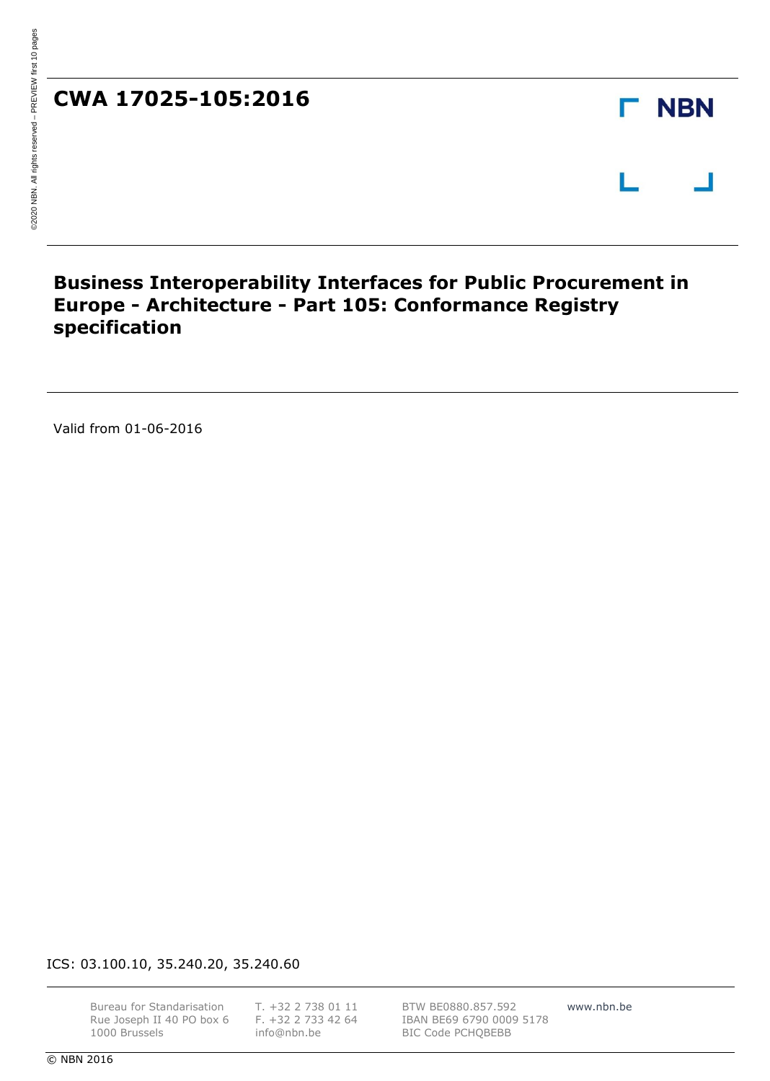# 62020 NBN. All rights reserved - PREVIEW first 10 pages ©2020 NBN. All rights reserved – PREVIEW first 10 pages

# **CWA 17025-105:2016**

**NBN** Г

# **Business Interoperability Interfaces for Public Procurement in Europe - Architecture - Part 105: Conformance Registry specification**

Valid from 01-06-2016

ICS: 03.100.10, 35.240.20, 35.240.60

Bureau for Standarisation Rue Joseph II 40 PO box 6 1000 Brussels

T. +32 2 738 01 11 F. +32 2 733 42 64 [info@nbn.be](mailto:info@nbn.be)

BTW BE0880.857.592 IBAN BE69 6790 0009 5178 BIC Code PCHQBEBB

www.nbn.be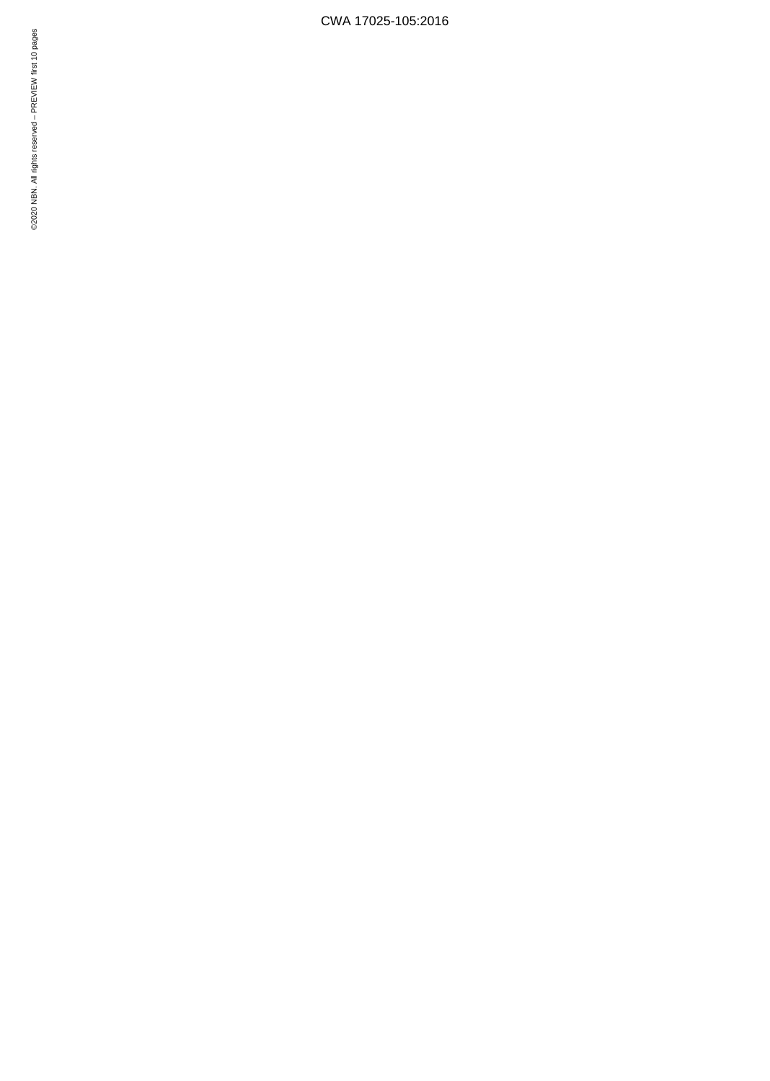CWA 17025-105:2016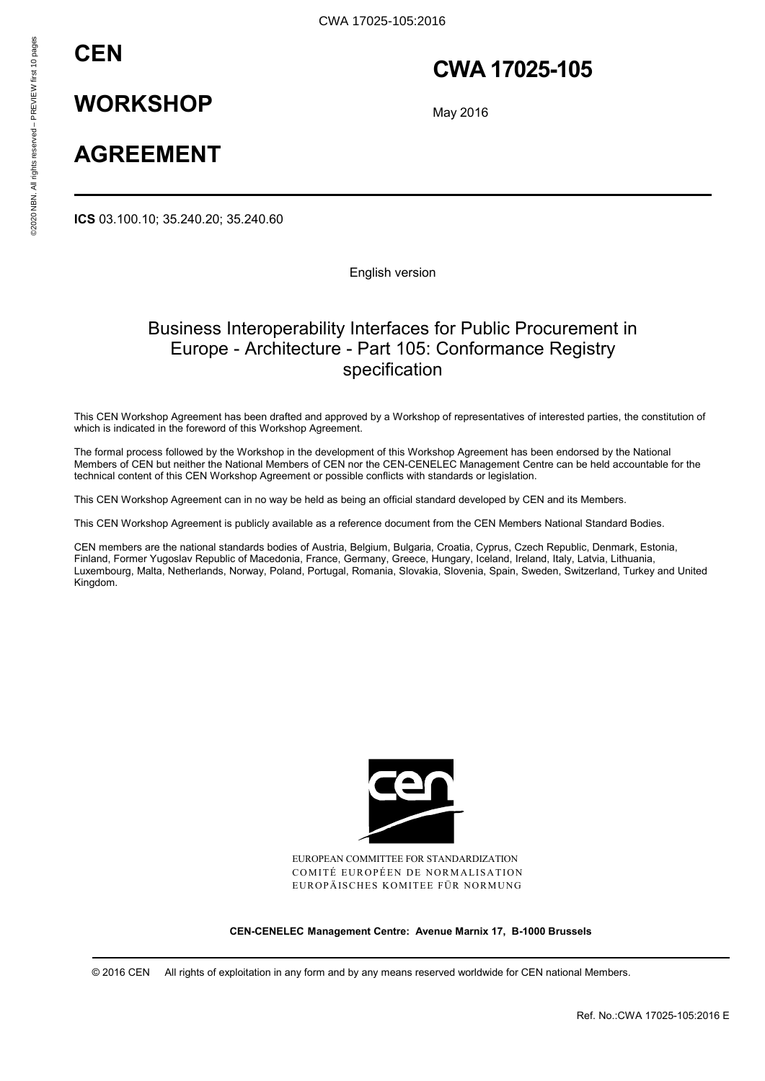# **CWA 17025-105**

May 2016

# **AGREEMENT**

**ICS** 03.100.10; 35.240.20; 35.240.60

English version

### Business Interoperability Interfaces for Public Procurement in Europe - Architecture - Part 105: Conformance Registry specification

This CEN Workshop Agreement has been drafted and approved by a Workshop of representatives of interested parties, the constitution of which is indicated in the foreword of this Workshop Agreement.

The formal process followed by the Workshop in the development of this Workshop Agreement has been endorsed by the National Members of CEN but neither the National Members of CEN nor the CEN-CENELEC Management Centre can be held accountable for the technical content of this CEN Workshop Agreement or possible conflicts with standards or legislation.

This CEN Workshop Agreement can in no way be held as being an official standard developed by CEN and its Members.

This CEN Workshop Agreement is publicly available as a reference document from the CEN Members National Standard Bodies.

CEN members are the national standards bodies of Austria, Belgium, Bulgaria, Croatia, Cyprus, Czech Republic, Denmark, Estonia, Finland, Former Yugoslav Republic of Macedonia, France, Germany, Greece, Hungary, Iceland, Ireland, Italy, Latvia, Lithuania, Luxembourg, Malta, Netherlands, Norway, Poland, Portugal, Romania, Slovakia, Slovenia, Spain, Sweden, Switzerland, Turkey and United Kingdom.



EUROPEAN COMMITTEE FOR STANDARDIZATION COMITÉ EUROPÉEN DE NORMALISATION EUROPÄISCHES KOMITEE FÜR NORMUNG

**CEN-CENELEC Management Centre: Avenue Marnix 17, B-1000 Brussels** 

© 2016 CEN All rights of exploitation in any form and by any means reserved worldwide for CEN national Members.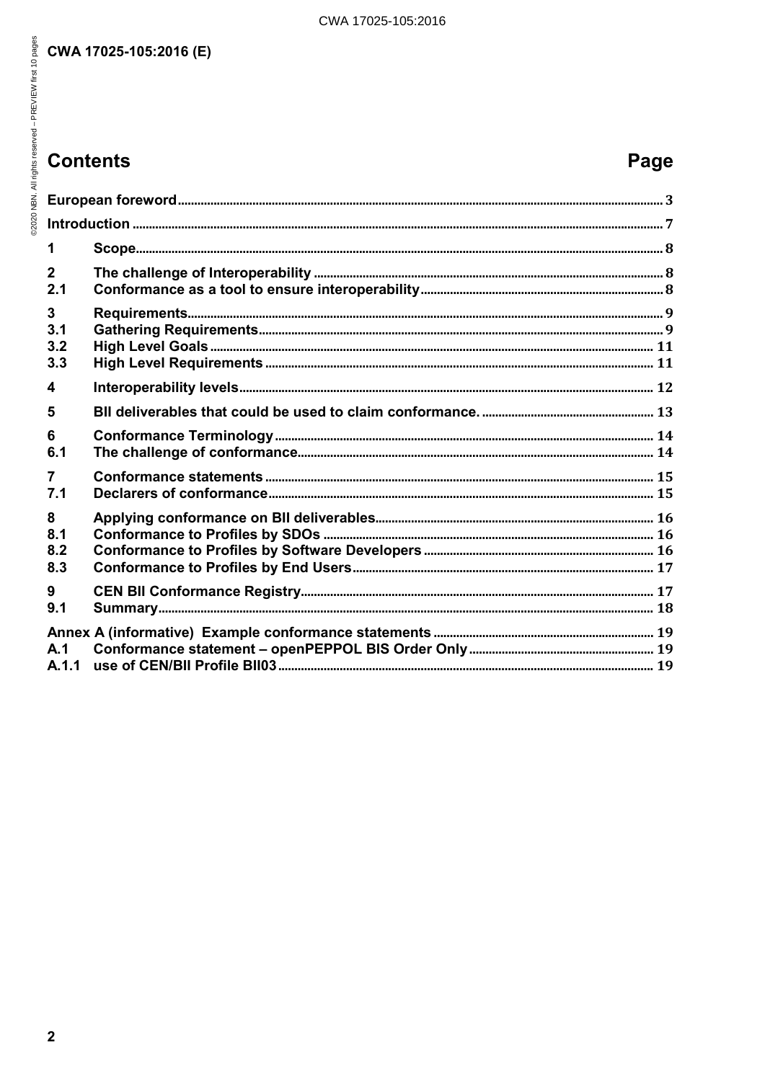# CWA 17025-105:2016 (E)

# **Contents**

# Page

| $\overline{2}$<br>2.1  |  |  |  |  |
|------------------------|--|--|--|--|
| 3<br>3.1<br>3.2<br>3.3 |  |  |  |  |
| 4                      |  |  |  |  |
| 5                      |  |  |  |  |
| 6<br>6.1               |  |  |  |  |
| 7<br>7.1               |  |  |  |  |
| 8<br>8.1<br>8.2<br>8.3 |  |  |  |  |
| 9<br>9.1               |  |  |  |  |
| A.1<br>A.1.1           |  |  |  |  |

CWA 17025-105:2016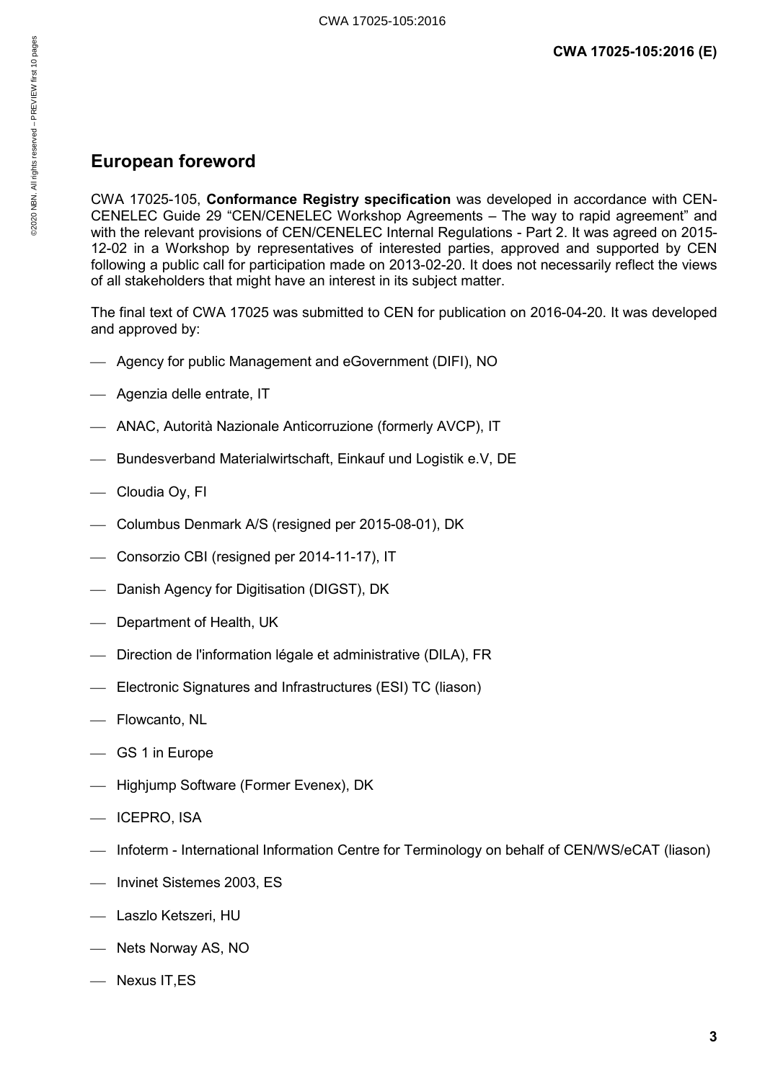# ©2020 NBN. All rights reserved - PREVIEW first 10 pages ©2020 NBN. All rights reserved – PREVIEW first 10 pages

## **European foreword**

CWA 17025-105, **Conformance Registry specification** was developed in accordance with CEN-CENELEC Guide 29 "CEN/CENELEC Workshop Agreements – The way to rapid agreement" and with the relevant provisions of CEN/CENELEC Internal Regulations - Part 2. It was agreed on 2015- 12-02 in a Workshop by representatives of interested parties, approved and supported by CEN following a public call for participation made on 2013-02-20. It does not necessarily reflect the views of all stakeholders that might have an interest in its subject matter.

The final text of CWA 17025 was submitted to CEN for publication on 2016-04-20. It was developed and approved by:

- Agency for public Management and eGovernment (DIFI), NO
- Agenzia delle entrate, IT
- ANAC, Autorità Nazionale Anticorruzione (formerly AVCP), IT
- Bundesverband Materialwirtschaft, Einkauf und Logistik e.V, DE
- Cloudia Oy, FI
- Columbus Denmark A/S (resigned per 2015-08-01), DK
- Consorzio CBI (resigned per 2014-11-17), IT
- Danish Agency for Digitisation (DIGST), DK
- Department of Health, UK
- Direction de l'information légale et administrative (DILA), FR
- Electronic Signatures and Infrastructures (ESI) TC (liason)
- Flowcanto, NL
- GS 1 in Europe
- Highjump Software (Former Evenex), DK
- $-$  ICEPRO, ISA
- Infoterm International Information Centre for Terminology on behalf of CEN/WS/eCAT (liason)
- Invinet Sistemes 2003, ES
- Laszlo Ketszeri, HU
- Nets Norway AS, NO
- Nexus IT,ES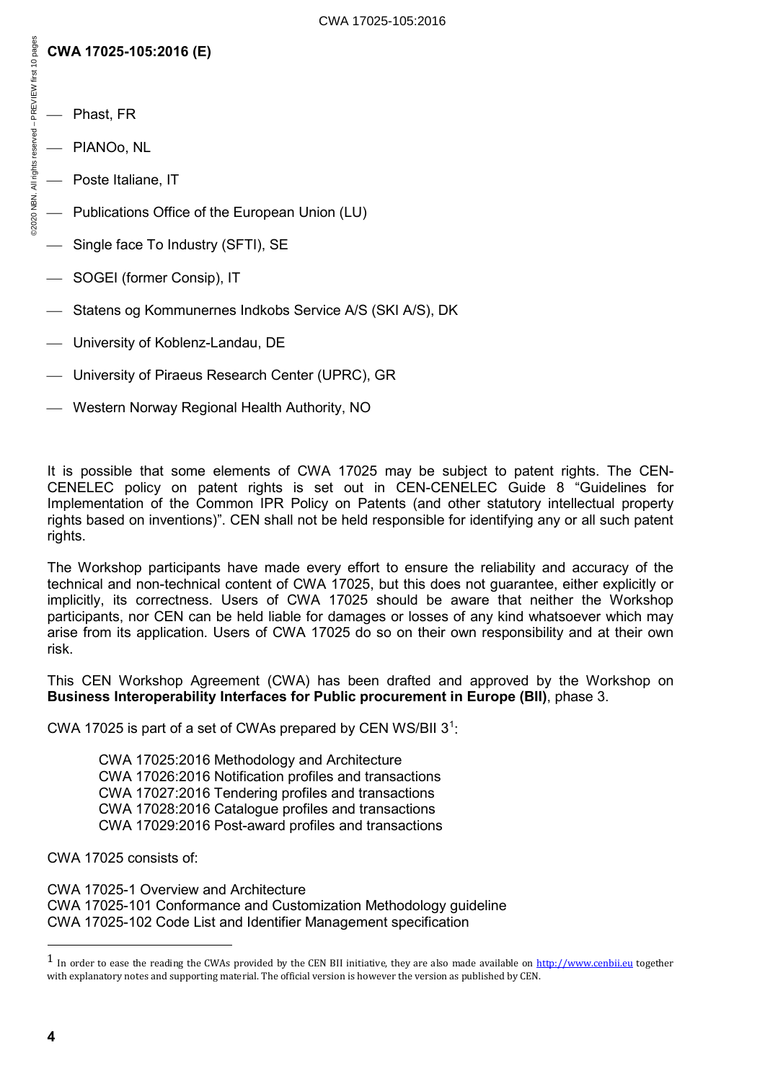- Phast, FR
- PIANOo, NL
- Poste Italiane, IT
- Publications Office of the European Union (LU)
- Single face To Industry (SFTI), SE
- SOGEI (former Consip), IT
- Statens og Kommunernes Indkobs Service A/S (SKI A/S), DK
- University of Koblenz-Landau, DE
- University of Piraeus Research Center (UPRC), GR
- Western Norway Regional Health Authority, NO

It is possible that some elements of CWA 17025 may be subject to patent rights. The CEN-CENELEC policy on patent rights is set out in CEN-CENELEC Guide 8 "Guidelines for Implementation of the Common IPR Policy on Patents (and other statutory intellectual property rights based on inventions)". CEN shall not be held responsible for identifying any or all such patent rights.

The Workshop participants have made every effort to ensure the reliability and accuracy of the technical and non-technical content of CWA 17025, but this does not guarantee, either explicitly or implicitly, its correctness. Users of CWA 17025 should be aware that neither the Workshop participants, nor CEN can be held liable for damages or losses of any kind whatsoever which may arise from its application. Users of CWA 17025 do so on their own responsibility and at their own risk.

This CEN Workshop Agreement (CWA) has been drafted and approved by the Workshop on **Business Interoperability Interfaces for Public procurement in Europe (BII)**, phase 3.

CWA [1](#page--1-22)7025 is part of a set of CWAs prepared by CEN WS/BII 3<sup>1</sup>:

CWA 17025:2016 Methodology and Architecture CWA 17026:2016 Notification profiles and transactions CWA 17027:2016 Tendering profiles and transactions CWA 17028:2016 Catalogue profiles and transactions CWA 17029:2016 Post-award profiles and transactions

CWA 17025 consists of:

CWA 17025-1 Overview and Architecture CWA 17025-101 Conformance and Customization Methodology guideline CWA 17025-102 Code List and Identifier Management specification

©2020 NBN. All rights reserved – PREVIEW first 10 pages52020 NBN. All rights reserved - PREVIEW first 10 pages

j

<sup>&</sup>lt;sup>1</sup> In order to ease the reading the CWAs provided by the CEN BII initiative, they are also made available o[n http://www.cenbii.eu](http://www.cenbii.eu/) together with explanatory notes and supporting material. The official version is however the version as published by CEN.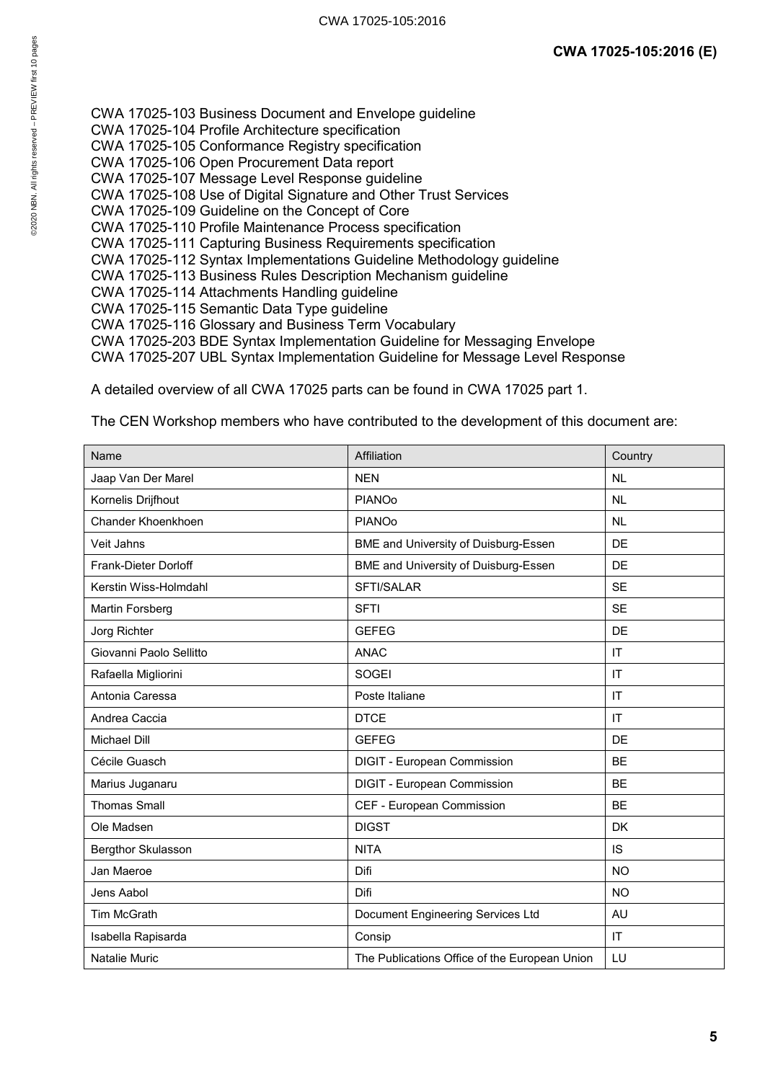CWA 17025-103 Business Document and Envelope guideline CWA 17025-104 Profile Architecture specification CWA 17025-105 Conformance Registry specification CWA 17025-106 Open Procurement Data report CWA 17025-107 Message Level Response guideline CWA 17025-108 Use of Digital Signature and Other Trust Services CWA 17025-109 Guideline on the Concept of Core CWA 17025-110 Profile Maintenance Process specification CWA 17025-111 Capturing Business Requirements specification CWA 17025-112 Syntax Implementations Guideline Methodology guideline CWA 17025-113 Business Rules Description Mechanism guideline CWA 17025-114 Attachments Handling guideline CWA 17025-115 Semantic Data Type guideline CWA 17025-116 Glossary and Business Term Vocabulary CWA 17025-203 BDE Syntax Implementation Guideline for Messaging Envelope CWA 17025-207 UBL Syntax Implementation Guideline for Message Level Response

A detailed overview of all CWA 17025 parts can be found in CWA 17025 part 1.

The CEN Workshop members who have contributed to the development of this document are:

| Name                    | Affiliation                                   | Country                |
|-------------------------|-----------------------------------------------|------------------------|
| Jaap Van Der Marel      | <b>NEN</b>                                    | <b>NL</b>              |
| Kornelis Drijfhout      | <b>PIANOo</b>                                 | <b>NL</b>              |
| Chander Khoenkhoen      | <b>PIANOo</b>                                 | <b>NL</b>              |
| Veit Jahns              | BME and University of Duisburg-Essen          | DE                     |
| Frank-Dieter Dorloff    | BME and University of Duisburg-Essen          | DE                     |
| Kerstin Wiss-Holmdahl   | <b>SFTI/SALAR</b>                             | <b>SE</b>              |
| Martin Forsberg         | <b>SFTI</b>                                   | <b>SE</b>              |
| Jorg Richter            | <b>GEFEG</b>                                  | DE                     |
| Giovanni Paolo Sellitto | <b>ANAC</b>                                   | $\mathsf{I}\mathsf{T}$ |
| Rafaella Migliorini     | SOGEI                                         | IT                     |
| Antonia Caressa         | Poste Italiane                                | IT                     |
| Andrea Caccia           | <b>DTCE</b>                                   | IT                     |
| <b>Michael Dill</b>     | <b>GEFEG</b>                                  | DE                     |
| Cécile Guasch           | DIGIT - European Commission                   | <b>BE</b>              |
| Marius Juganaru         | DIGIT - European Commission                   | <b>BE</b>              |
| <b>Thomas Small</b>     | CEF - European Commission                     | <b>BE</b>              |
| Ole Madsen              | <b>DIGST</b>                                  | <b>DK</b>              |
| Bergthor Skulasson      | <b>NITA</b>                                   | IS                     |
| Jan Maeroe              | Difi                                          | <b>NO</b>              |
| Jens Aabol              | Difi                                          | <b>NO</b>              |
| <b>Tim McGrath</b>      | Document Engineering Services Ltd             | AU                     |
| Isabella Rapisarda      | Consip                                        | $\mathsf{I}\mathsf{T}$ |
| Natalie Muric           | The Publications Office of the European Union | LU                     |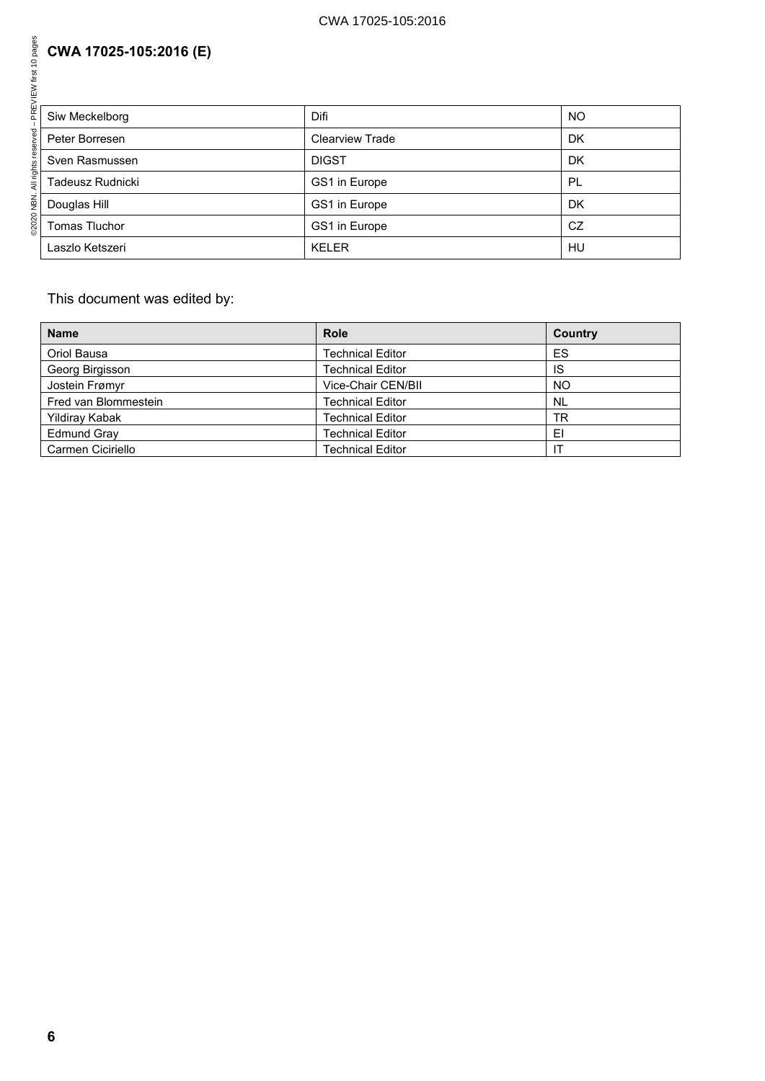### **CWA 17025-105:2016 (E)**

| Siw Meckelborg          | Difi                   | NO |
|-------------------------|------------------------|----|
| Peter Borresen          | <b>Clearview Trade</b> | DK |
| Sven Rasmussen          | <b>DIGST</b>           | DK |
| <b>Tadeusz Rudnicki</b> | GS1 in Europe          | PL |
| Douglas Hill            | GS1 in Europe          | DK |
| <b>Tomas Tluchor</b>    | GS1 in Europe          | CZ |
| Laszlo Ketszeri         | <b>KELER</b>           | HU |

This document was edited by:

| <b>Name</b>          | <b>Role</b>             | Country   |
|----------------------|-------------------------|-----------|
| Oriol Bausa          | <b>Technical Editor</b> | ES        |
| Georg Birgisson      | <b>Technical Editor</b> | IS        |
| Jostein Frømyr       | Vice-Chair CEN/BII      | NO        |
| Fred van Blommestein | <b>Technical Editor</b> | <b>NL</b> |
| Yildiray Kabak       | <b>Technical Editor</b> | <b>TR</b> |
| Edmund Gray          | Technical Editor        | EI        |
| Carmen Ciciriello    | Technical Editor        |           |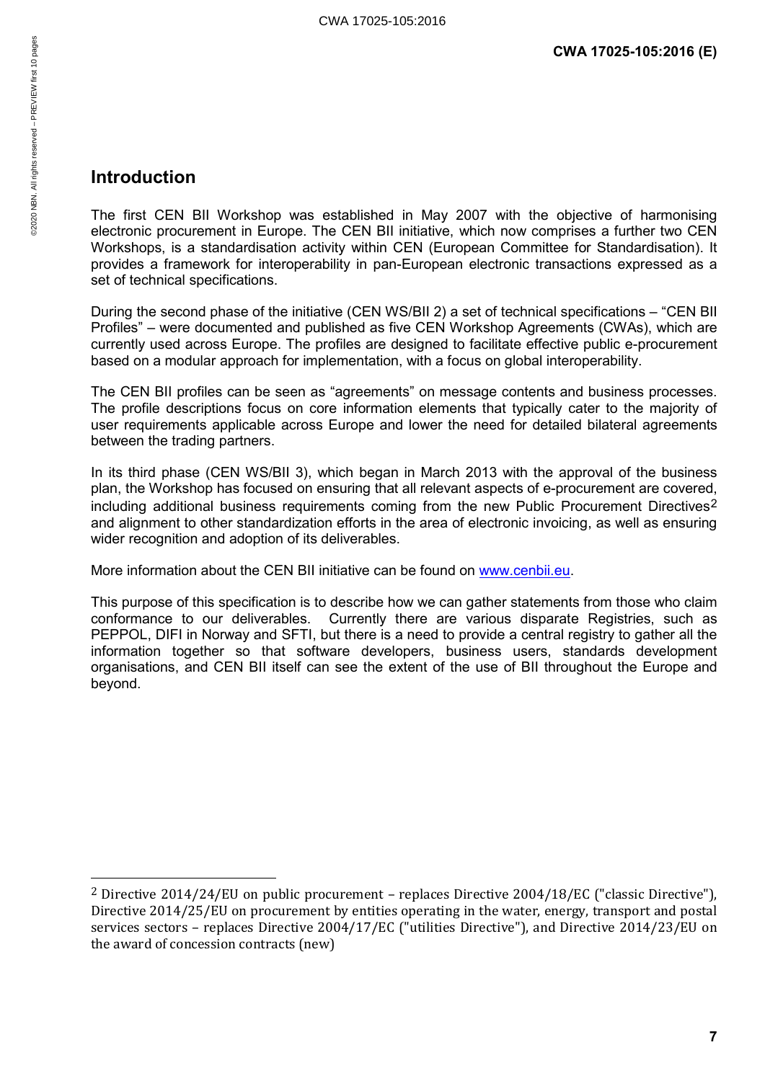#### **Introduction**

The first CEN BII Workshop was established in May 2007 with the objective of harmonising electronic procurement in Europe. The CEN BII initiative, which now comprises a further two CEN Workshops, is a standardisation activity within CEN (European Committee for Standardisation). It provides a framework for interoperability in pan-European electronic transactions expressed as a set of technical specifications.

During the second phase of the initiative (CEN WS/BII 2) a set of technical specifications – "CEN BII Profiles" – were documented and published as five CEN Workshop Agreements (CWAs), which are currently used across Europe. The profiles are designed to facilitate effective public e-procurement based on a modular approach for implementation, with a focus on global interoperability.

The CEN BII profiles can be seen as "agreements" on message contents and business processes. The profile descriptions focus on core information elements that typically cater to the majority of user requirements applicable across Europe and lower the need for detailed bilateral agreements between the trading partners.

In its third phase (CEN WS/BII 3), which began in March 2013 with the approval of the business plan, the Workshop has focused on ensuring that all relevant aspects of e-procurement are covered, including additional business requirements coming from the new Public Procurement Directives<sup>[2](#page--1-23)</sup> and alignment to other standardization efforts in the area of electronic invoicing, as well as ensuring wider recognition and adoption of its deliverables.

More information about the CEN BII initiative can be found on [www.cenbii.eu.](http://www.cenbii.eu/)

This purpose of this specification is to describe how we can gather statements from those who claim conformance to our deliverables. Currently there are various disparate Registries, such as PEPPOL, DIFI in Norway and SFTI, but there is a need to provide a central registry to gather all the information together so that software developers, business users, standards development organisations, and CEN BII itself can see the extent of the use of BII throughout the Europe and beyond.

 <sup>2</sup> Directive 2014/24/EU on public procurement – replaces Directive 2004/18/EC ("classic Directive"), Directive 2014/25/EU on procurement by entities operating in the water, energy, transport and postal services sectors – replaces Directive 2004/17/EC ("utilities Directive"), and Directive 2014/23/EU on the award of concession contracts (new)